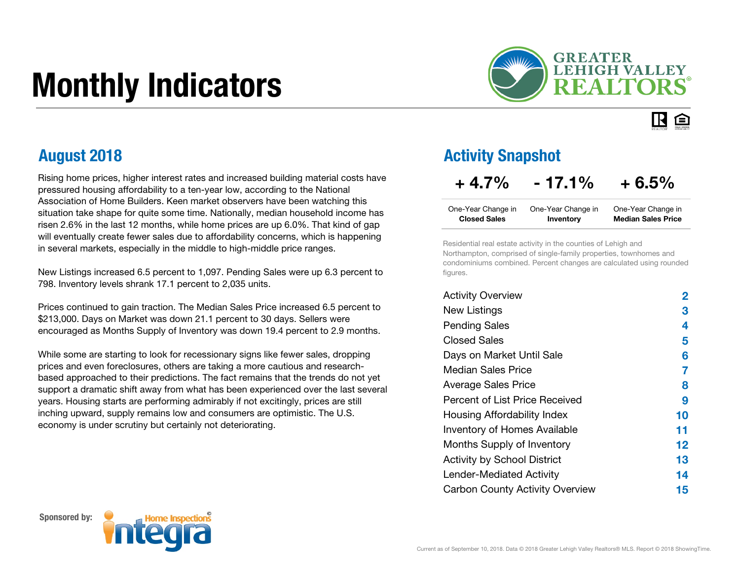# Monthly Indicators



IR. 臼

Rising home prices, higher interest rates and increased building material costs have pressured housing affordability to a ten-year low, according to the National Association of Home Builders. Keen market observers have been watching this situation take shape for quite some time. Nationally, median household income has risen 2.6% in the last 12 months, while home prices are up 6.0%. That kind of gap will eventually create fewer sales due to affordability concerns, which is happening in several markets, especially in the middle to high-middle price ranges.

New Listings increased 6.5 percent to 1,097. Pending Sales were up 6.3 percent to 798. Inventory levels shrank 17.1 percent to 2,035 units.

Prices continued to gain traction. The Median Sales Price increased 6.5 percent to \$213,000. Days on Market was down 21.1 percent to 30 days. Sellers were encouraged as Months Supply of Inventory was down 19.4 percent to 2.9 months.

While some are starting to look for recessionary signs like fewer sales, dropping prices and even foreclosures, others are taking a more cautious and researchbased approached to their predictions. The fact remains that the trends do not yet support a dramatic shift away from what has been experienced over the last several years. Housing starts are performing admirably if not excitingly, prices are still inching upward, supply remains low and consumers are optimistic. The U.S. economy is under scrutiny but certainly not deteriorating.

#### August 2018 Activity Snapshot

### $+4.7\%$  - 17.1% + 6.5%

| One-Year Change in  | One-Year Change in | One-Year Change in        |
|---------------------|--------------------|---------------------------|
| <b>Closed Sales</b> | Inventory          | <b>Median Sales Price</b> |

Residential real estate activity in the counties of Lehigh and Northampton, comprised of single-family properties, townhomes and condominiums combined. Percent changes are calculated using rounded figures.

| <b>Activity Overview</b>               | 2       |
|----------------------------------------|---------|
| <b>New Listings</b>                    | З       |
| <b>Pending Sales</b>                   | 4       |
| <b>Closed Sales</b>                    | 5       |
| Days on Market Until Sale              | 6       |
| Median Sales Price                     | 7       |
| <b>Average Sales Price</b>             | 8       |
| Percent of List Price Received         | 9       |
| Housing Affordability Index            | 10      |
| <b>Inventory of Homes Available</b>    | 11      |
| Months Supply of Inventory             | $12 \,$ |
| <b>Activity by School District</b>     | 13      |
| Lender-Mediated Activity               | 14      |
| <b>Carbon County Activity Overview</b> | 15      |



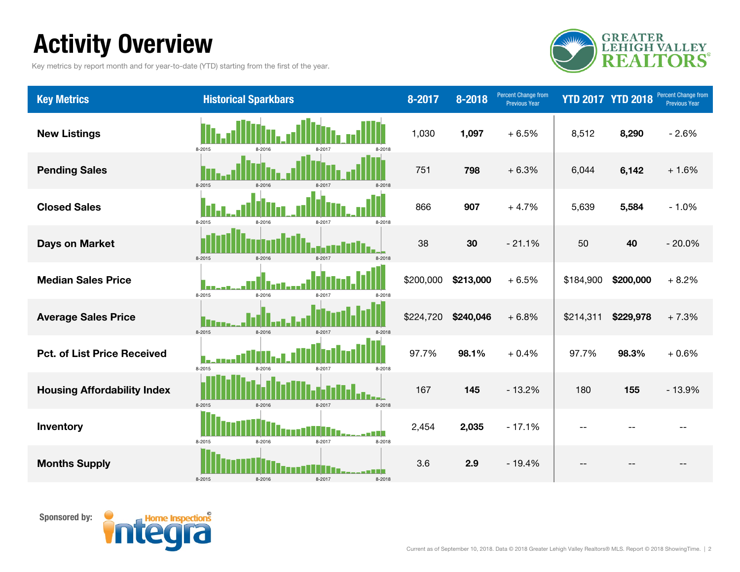### Activity Overview

Key metrics by report month and for year-to-date (YTD) starting from the first of the year.



| <b>Key Metrics</b>                 | <b>Historical Sparkbars</b>          | 8-2017    | 8-2018    | Percent Change from<br><b>Previous Year</b> |           | <b>YTD 2017 YTD 2018</b> | Percent Change from<br><b>Previous Year</b> |
|------------------------------------|--------------------------------------|-----------|-----------|---------------------------------------------|-----------|--------------------------|---------------------------------------------|
| <b>New Listings</b>                | 8-2015<br>8-2016<br>8-2018           | 1,030     | 1,097     | $+6.5%$                                     | 8,512     | 8,290                    | $-2.6%$                                     |
| <b>Pending Sales</b>               | 8-2015<br>8-2016<br>8-2017<br>8-2018 | 751       | 798       | $+6.3%$                                     | 6,044     | 6,142                    | $+1.6%$                                     |
| <b>Closed Sales</b>                | 8-2015<br>8-2018<br>8-2016<br>8-2017 | 866       | 907       | $+4.7%$                                     | 5,639     | 5,584                    | $-1.0%$                                     |
| <b>Days on Market</b>              | 8-2015<br>8-2016<br>8-2017<br>8-2018 | 38        | 30        | $-21.1%$                                    | 50        | 40                       | $-20.0%$                                    |
| <b>Median Sales Price</b>          | 8-2015<br>8-2016<br>8-2017<br>8-2018 | \$200,000 | \$213,000 | $+6.5%$                                     | \$184,900 | \$200,000                | $+8.2%$                                     |
| <b>Average Sales Price</b>         | 8-2015<br>8-2016<br>8-2017<br>8-2018 | \$224,720 | \$240,046 | $+6.8%$                                     | \$214,311 | \$229,978                | $+7.3%$                                     |
| <b>Pct. of List Price Received</b> | 8-2015<br>8-2016<br>8-2018<br>8-2017 | 97.7%     | 98.1%     | $+0.4%$                                     | 97.7%     | 98.3%                    | $+0.6%$                                     |
| <b>Housing Affordability Index</b> | 8-2015<br>8-2016<br>8-2017<br>8-2018 | 167       | 145       | $-13.2%$                                    | 180       | 155                      | $-13.9%$                                    |
| Inventory                          | 8-2015<br>8-2016<br>8-2017<br>8-2018 | 2,454     | 2,035     | $-17.1%$                                    |           |                          |                                             |
| <b>Months Supply</b>               | 8-2015<br>8-2016<br>8-2017<br>8-2018 | 3.6       | 2.9       | $-19.4%$                                    |           |                          |                                             |

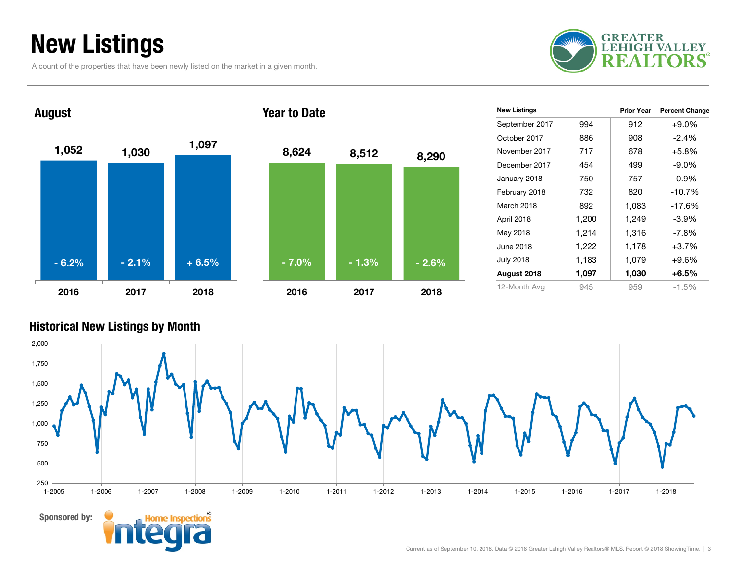### New Listings

A count of the properties that have been newly listed on the market in a given month.





| <b>New Listings</b> |       | Prior Year | <b>Percent Change</b> |
|---------------------|-------|------------|-----------------------|
| September 2017      | 994   | 912        | $+9.0\%$              |
| October 2017        | 886   | 908        | $-2.4%$               |
| November 2017       | 717   | 678        | $+5.8%$               |
| December 2017       | 454   | 499        | $-9.0\%$              |
| January 2018        | 750   | 757        | $-0.9\%$              |
| February 2018       | 732   | 820        | $-10.7%$              |
| March 2018          | 892   | 1,083      | $-17.6%$              |
| April 2018          | 1,200 | 1,249      | $-3.9%$               |
| May 2018            | 1,214 | 1,316      | $-7.8%$               |
| June 2018           | 1,222 | 1,178      | $+3.7%$               |
| <b>July 2018</b>    | 1,183 | 1,079      | +9.6%                 |
| August 2018         | 1,097 | 1,030      | $+6.5\%$              |
| 12-Month Avg        | 945   | 959        | $-1.5\%$              |

#### Historical New Listings by Month



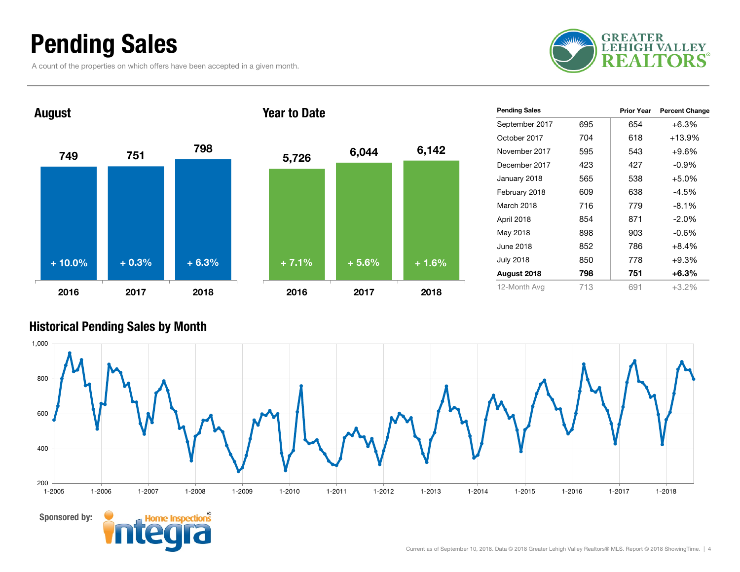### Pending Sales

A count of the properties on which offers have been accepted in a given month.





| <b>Pending Sales</b> |     | <b>Prior Year</b> | <b>Percent Change</b> |
|----------------------|-----|-------------------|-----------------------|
| September 2017       | 695 | 654               | $+6.3%$               |
| October 2017         | 704 | 618               | $+13.9%$              |
| November 2017        | 595 | 543               | $+9.6%$               |
| December 2017        | 423 | 427               | $-0.9%$               |
| January 2018         | 565 | 538               | $+5.0%$               |
| February 2018        | 609 | 638               | $-4.5%$               |
| March 2018           | 716 | 779               | $-8.1%$               |
| April 2018           | 854 | 871               | $-2.0\%$              |
| May 2018             | 898 | 903               | $-0.6%$               |
| June 2018            | 852 | 786               | $+8.4%$               |
| <b>July 2018</b>     | 850 | 778               | $+9.3%$               |
| August 2018          | 798 | 751               | $+6.3%$               |
| 12-Month Avg         | 713 | 691               | $+3.2%$               |

#### Historical Pending Sales by Month

Sponsored by:

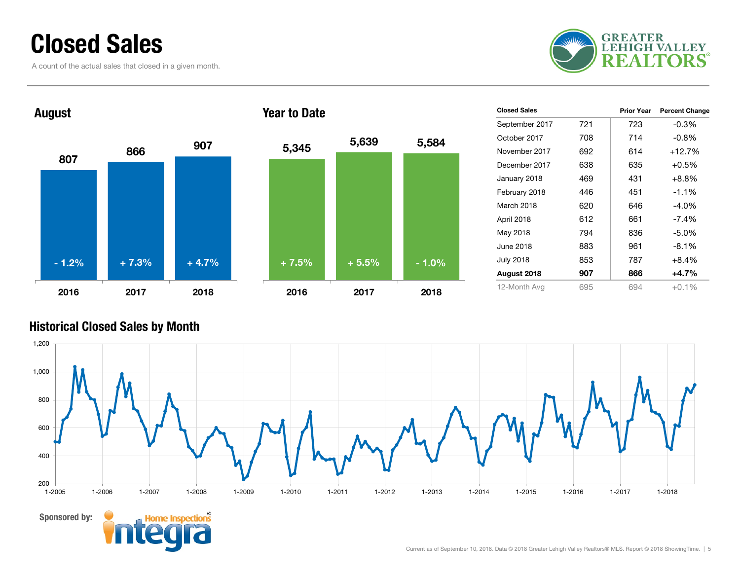### Closed Sales

A count of the actual sales that closed in a given month.





| <b>Closed Sales</b> |     | <b>Prior Year</b> | <b>Percent Change</b> |
|---------------------|-----|-------------------|-----------------------|
| September 2017      | 721 | 723               | $-0.3%$               |
| October 2017        | 708 | 714               | $-0.8\%$              |
| November 2017       | 692 | 614               | $+12.7%$              |
| December 2017       | 638 | 635               | $+0.5%$               |
| January 2018        | 469 | 431               | $+8.8%$               |
| February 2018       | 446 | 451               | $-1.1%$               |
| March 2018          | 620 | 646               | $-4.0\%$              |
| April 2018          | 612 | 661               | $-7.4\%$              |
| May 2018            | 794 | 836               | $-5.0\%$              |
| June 2018           | 883 | 961               | $-8.1\%$              |
| <b>July 2018</b>    | 853 | 787               | $+8.4%$               |
| August 2018         | 907 | 866               | $+4.7%$               |
| 12-Month Avg        | 695 | 694               | $+0.1\%$              |

#### Historical Closed Sales by Month

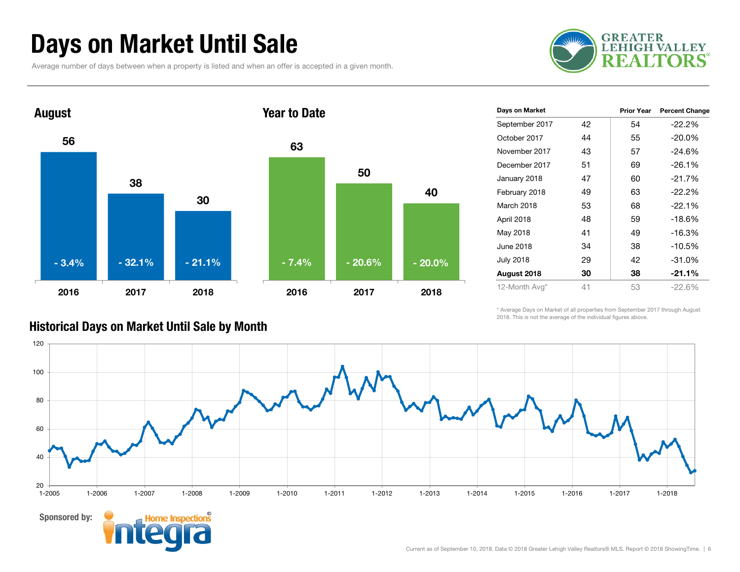### Days on Market Until Sale

Average number of days between when a property is listed and when an offer is accepted in a given month.





| Days on Market   |    | <b>Prior Year</b> | <b>Percent Change</b> |
|------------------|----|-------------------|-----------------------|
| September 2017   | 42 | 54                | $-22.2%$              |
| October 2017     | 44 | 55                | $-20.0\%$             |
| November 2017    | 43 | 57                | $-24.6%$              |
| December 2017    | 51 | 69                | $-26.1%$              |
| January 2018     | 47 | 60                | $-21.7%$              |
| February 2018    | 49 | 63                | $-22.2%$              |
| March 2018       | 53 | 68                | $-22.1%$              |
| April 2018       | 48 | 59                | $-18.6%$              |
| May 2018         | 41 | 49                | $-16.3%$              |
| June 2018        | 34 | 38                | $-10.5%$              |
| <b>July 2018</b> | 29 | 42                | $-31.0%$              |
| August 2018      | 30 | 38                | $-21.1%$              |
| 12-Month Avg*    | 41 | 53                | $-22.6%$              |

\* Average Days on Market of all properties from September 2017 through August 2018. This is not the average of the individual figures above.



#### Historical Days on Market Until Sale by Month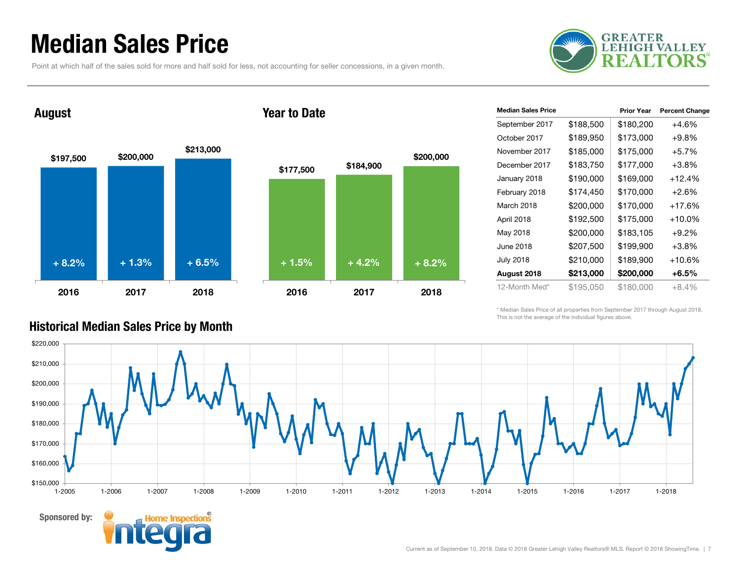### Median Sales Price

Point at which half of the sales sold for more and half sold for less, not accounting for seller concessions, in a given month.



#### August

Sponsored by:





| <b>Median Sales Price</b> |           | <b>Prior Year</b> | <b>Percent Change</b> |
|---------------------------|-----------|-------------------|-----------------------|
| September 2017            | \$188,500 | \$180,200         | $+4.6%$               |
| October 2017              | \$189,950 | \$173,000         | $+9.8\%$              |
| November 2017             | \$185,000 | \$175,000         | $+5.7%$               |
| December 2017             | \$183,750 | \$177,000         | $+3.8%$               |
| January 2018              | \$190,000 | \$169,000         | $+12.4%$              |
| February 2018             | \$174,450 | \$170,000         | $+2.6%$               |
| March 2018                | \$200,000 | \$170,000         | $+17.6%$              |
| April 2018                | \$192,500 | \$175,000         | $+10.0\%$             |
| May 2018                  | \$200,000 | \$183,105         | $+9.2%$               |
| June 2018                 | \$207,500 | \$199,900         | $+3.8\%$              |
| <b>July 2018</b>          | \$210,000 | \$189,900         | +10.6%                |
| August 2018               | \$213,000 | \$200,000         | +6.5%                 |
| 12-Month Med*             | \$195,050 | \$180,000         | $+8.4%$               |

\* Median Sales Price of all properties from September 2017 through August 2018. This is not the average of the individual figures above.



\$200,000

#### Historical Median Sales Price by Month

#### Current as of September 10, 2018. Data © 2018 Greater Lehigh Valley Realtors® MLS. Report © 2018 ShowingTime. | 7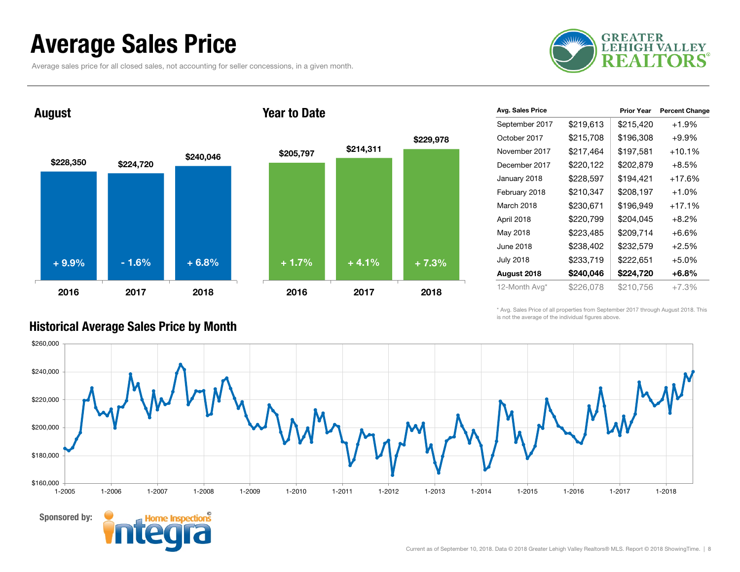### Average Sales Price

Average sales price for all closed sales, not accounting for seller concessions, in a given month.



\$228,350 \$224,720 \$240,046 2016 2017 2018 August





| Avg. Sales Price |           | <b>Prior Year</b> | <b>Percent Change</b> |
|------------------|-----------|-------------------|-----------------------|
| September 2017   | \$219,613 | \$215,420         | $+1.9%$               |
| October 2017     | \$215,708 | \$196,308         | $+9.9\%$              |
| November 2017    | \$217,464 | \$197,581         | $+10.1%$              |
| December 2017    | \$220,122 | \$202,879         | $+8.5\%$              |
| January 2018     | \$228,597 | \$194,421         | $+17.6%$              |
| February 2018    | \$210,347 | \$208,197         | $+1.0%$               |
| March 2018       | \$230,671 | \$196,949         | $+17.1%$              |
| April 2018       | \$220,799 | \$204,045         | $+8.2\%$              |
| May 2018         | \$223,485 | \$209,714         | +6.6%                 |
| June 2018        | \$238,402 | \$232,579         | $+2.5%$               |
| <b>July 2018</b> | \$233,719 | \$222,651         | $+5.0%$               |
| August 2018      | \$240,046 | \$224,720         | +6.8%                 |
| 12-Month Avg*    | \$226,078 | \$210,756         | $+7.3\%$              |

\* Avg. Sales Price of all properties from September 2017 through August 2018. This is not the average of the individual figures above.



#### Historical Average Sales Price by Month

Sponsored by: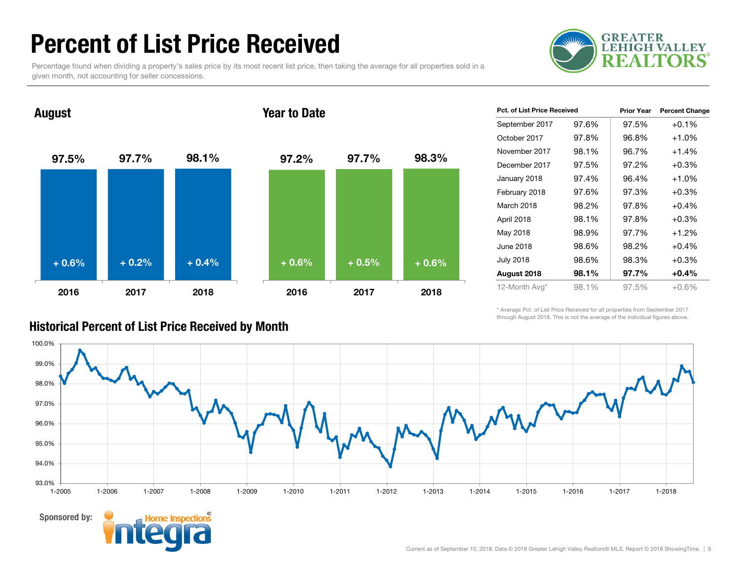### Percent of List Price Received

Percentage found when dividing a property's sales price by its most recent list price, then taking the average for all properties sold in a given month, not accounting for seller concessions.





| <b>Pct. of List Price Received</b> |       | <b>Prior Year</b> | <b>Percent Change</b> |
|------------------------------------|-------|-------------------|-----------------------|
| September 2017                     | 97.6% | 97.5%             | $+0.1%$               |
| October 2017                       | 97.8% | 96.8%             | $+1.0%$               |
| November 2017                      | 98.1% | 96.7%             | $+1.4%$               |
| December 2017                      | 97.5% | 97.2%             | $+0.3%$               |
| January 2018                       | 97.4% | 96.4%             | $+1.0%$               |
| February 2018                      | 97.6% | 97.3%             | $+0.3%$               |
| March 2018                         | 98.2% | 97.8%             | $+0.4%$               |
| April 2018                         | 98.1% | 97.8%             | $+0.3%$               |
| May 2018                           | 98.9% | 97.7%             | +1.2%                 |
| June 2018                          | 98.6% | 98.2%             | $+0.4%$               |
| <b>July 2018</b>                   | 98.6% | 98.3%             | $+0.3%$               |
| August 2018                        | 98.1% | 97.7%             | $+0.4%$               |
| 12-Month Avg*                      | 98.1% | 97.5%             | $+0.6%$               |

\* Average Pct. of List Price Received for all properties from September 2017 through August 2018. This is not the average of the individual figures above.



#### Sponsored by:



Historical Percent of List Price Received by Month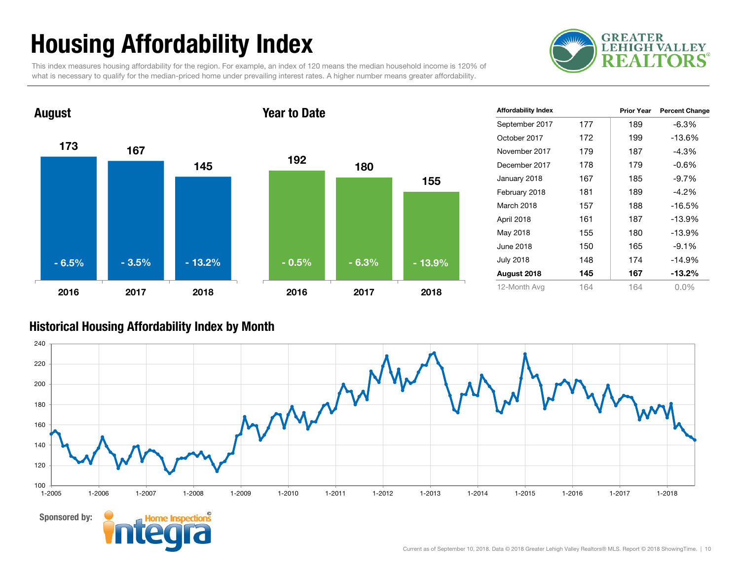## Housing Affordability Index

This index measures housing affordability for the region. For example, an index of 120 means the median household income is 120% of what is necessary to qualify for the median-priced home under prevailing interest rates. A higher number means greater affordability.





| <b>Affordability Index</b> |     | <b>Prior Year</b> | <b>Percent Change</b> |
|----------------------------|-----|-------------------|-----------------------|
| September 2017             | 177 | 189               | -6.3%                 |
| October 2017               | 172 | 199               | $-13.6%$              |
| November 2017              | 179 | 187               | -4.3%                 |
| December 2017              | 178 | 179               | -0.6%                 |
| January 2018               | 167 | 185               | -9.7%                 |
| February 2018              | 181 | 189               | $-4.2%$               |
| March 2018                 | 157 | 188               | $-16.5%$              |
| April 2018                 | 161 | 187               | $-13.9%$              |
| May 2018                   | 155 | 180               | $-13.9%$              |
| June 2018                  | 150 | 165               | $-9.1%$               |
| <b>July 2018</b>           | 148 | 174               | $-14.9%$              |
| August 2018                | 145 | 167               | $-13.2%$              |
| 12-Month Avg               | 164 | 164               | $0.0\%$               |

#### Historical Housing Affordability Index by Month

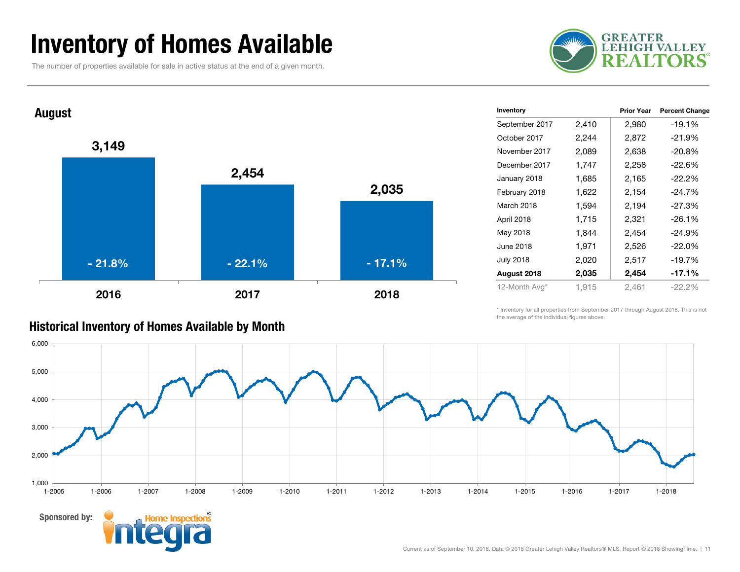### Inventory of Homes Available

The number of properties available for sale in active status at the end of a given month.





| Historical Inventory of Homes Available by Month |
|--------------------------------------------------|
|--------------------------------------------------|

| Inventory        |       | <b>Prior Year</b> | <b>Percent Change</b> |
|------------------|-------|-------------------|-----------------------|
| September 2017   | 2,410 | 2,980             | -19.1%                |
| October 2017     | 2,244 | 2,872             | -21.9%                |
| November 2017    | 2,089 | 2,638             | $-20.8%$              |
| December 2017    | 1,747 | 2,258             | -22.6%                |
| January 2018     | 1,685 | 2,165             | $-22.2\%$             |
| February 2018    | 1,622 | 2,154             | $-24.7%$              |
| March 2018       | 1,594 | 2,194             | $-27.3%$              |
| April 2018       | 1,715 | 2,321             | $-26.1%$              |
| May 2018         | 1,844 | 2,454             | $-24.9%$              |
| June 2018        | 1,971 | 2,526             | $-22.0\%$             |
| <b>July 2018</b> | 2,020 | 2,517             | -19.7%                |
| August 2018      | 2,035 | 2,454             | -17.1%                |
| 12-Month Avg*    | 1,915 | 2,461             | $-22.2%$              |
|                  |       |                   |                       |

\* Inventory for all properties from September 2017 through August 2018. This is not the average of the individual figures above.

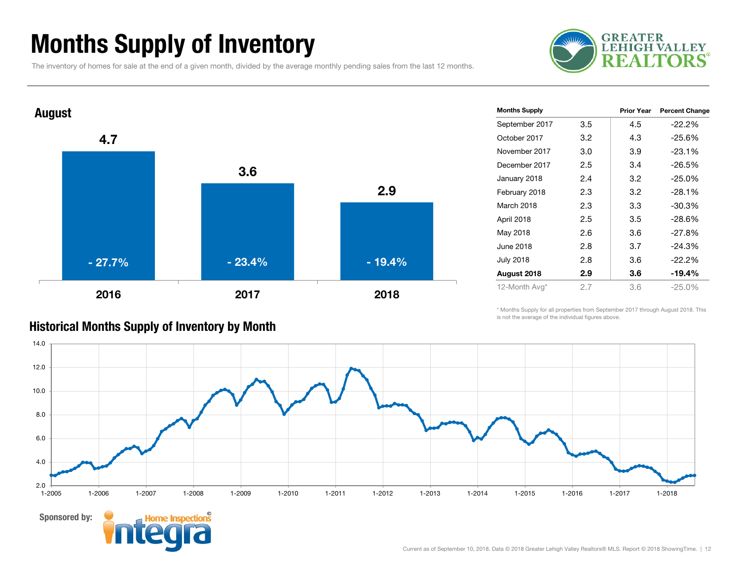### Months Supply of Inventory

The inventory of homes for sale at the end of a given month, divided by the average monthly pending sales from the last 12 months.





| <b>Months Supply</b> |     | <b>Prior Year</b> | <b>Percent Change</b> |
|----------------------|-----|-------------------|-----------------------|
| September 2017       | 3.5 | 4.5               | $-22.2\%$             |
| October 2017         | 3.2 | 4.3               | $-25.6%$              |
| November 2017        | 3.0 | 3.9               | $-23.1%$              |
| December 2017        | 2.5 | 3.4               | $-26.5%$              |
| January 2018         | 2.4 | 3.2               | $-25.0%$              |
| February 2018        | 2.3 | 3.2               | $-28.1%$              |
| March 2018           | 2.3 | 3.3               | -30.3%                |
| April 2018           | 2.5 | 3.5               | $-28.6%$              |
| May 2018             | 2.6 | 3.6               | $-27.8%$              |
| June 2018            | 2.8 | 3.7               | $-24.3%$              |
| <b>July 2018</b>     | 2.8 | 3.6               | $-22.2%$              |
| August 2018          | 2.9 | 3.6               | $-19.4%$              |
| 12-Month Avg*        | 2.7 | 3.6               | $-25.0%$              |
|                      |     |                   |                       |

\* Months Supply for all properties from September 2017 through August 2018. This is not the average of the individual figures above.



#### Historical Months Supply of Inventory by Month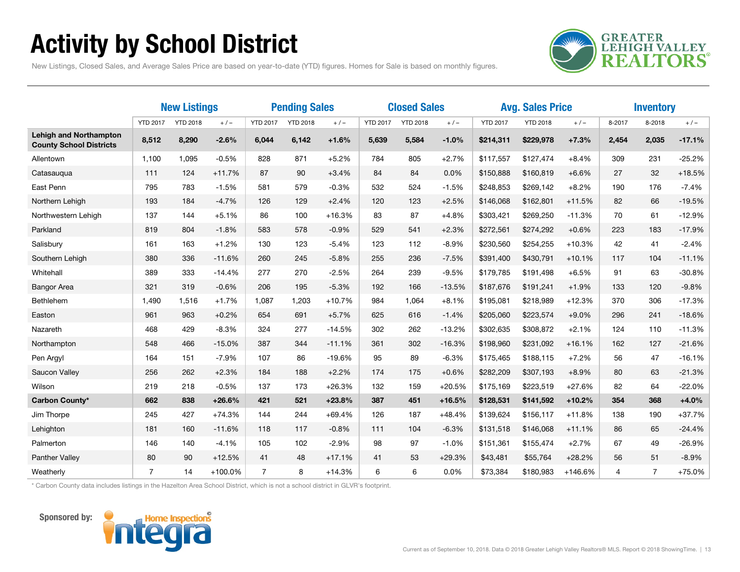### Activity by School District



New Listings, Closed Sales, and Average Sales Price are based on year-to-date (YTD) figures. Homes for Sale is based on monthly figures.

|                                                                 | <b>New Listings</b> |                 | <b>Pending Sales</b> |                 | <b>Closed Sales</b> |          |                 | <b>Avg. Sales Price</b> |          |                 | <b>Inventory</b> |           |        |                |          |
|-----------------------------------------------------------------|---------------------|-----------------|----------------------|-----------------|---------------------|----------|-----------------|-------------------------|----------|-----------------|------------------|-----------|--------|----------------|----------|
|                                                                 | <b>YTD 2017</b>     | <b>YTD 2018</b> | $+/-$                | <b>YTD 2017</b> | <b>YTD 2018</b>     | $+/-$    | <b>YTD 2017</b> | <b>YTD 2018</b>         | $+/-$    | <b>YTD 2017</b> | <b>YTD 2018</b>  | $+/-$     | 8-2017 | 8-2018         | $+/-$    |
| <b>Lehigh and Northampton</b><br><b>County School Districts</b> | 8,512               | 8,290           | $-2.6%$              | 6,044           | 6,142               | $+1.6%$  | 5,639           | 5,584                   | $-1.0%$  | \$214,311       | \$229,978        | $+7.3%$   | 2,454  | 2,035          | $-17.1%$ |
| Allentown                                                       | 1,100               | 1,095           | $-0.5%$              | 828             | 871                 | $+5.2%$  | 784             | 805                     | $+2.7%$  | \$117,557       | \$127,474        | $+8.4%$   | 309    | 231            | $-25.2%$ |
| Catasaugua                                                      | 111                 | 124             | $+11.7%$             | 87              | 90                  | $+3.4%$  | 84              | 84                      | 0.0%     | \$150,888       | \$160,819        | $+6.6%$   | 27     | 32             | $+18.5%$ |
| East Penn                                                       | 795                 | 783             | $-1.5%$              | 581             | 579                 | $-0.3%$  | 532             | 524                     | $-1.5%$  | \$248,853       | \$269,142        | $+8.2%$   | 190    | 176            | $-7.4%$  |
| Northern Lehigh                                                 | 193                 | 184             | $-4.7%$              | 126             | 129                 | $+2.4%$  | 120             | 123                     | $+2.5%$  | \$146,068       | \$162,801        | $+11.5%$  | 82     | 66             | $-19.5%$ |
| Northwestern Lehigh                                             | 137                 | 144             | $+5.1%$              | 86              | 100                 | $+16.3%$ | 83              | 87                      | $+4.8%$  | \$303,421       | \$269,250        | $-11.3%$  | 70     | 61             | $-12.9%$ |
| Parkland                                                        | 819                 | 804             | $-1.8%$              | 583             | 578                 | $-0.9%$  | 529             | 541                     | $+2.3%$  | \$272,561       | \$274,292        | $+0.6%$   | 223    | 183            | $-17.9%$ |
| Salisbury                                                       | 161                 | 163             | $+1.2%$              | 130             | 123                 | $-5.4%$  | 123             | 112                     | $-8.9%$  | \$230,560       | \$254,255        | $+10.3%$  | 42     | 41             | $-2.4%$  |
| Southern Lehigh                                                 | 380                 | 336             | $-11.6%$             | 260             | 245                 | $-5.8%$  | 255             | 236                     | $-7.5%$  | \$391,400       | \$430,791        | $+10.1%$  | 117    | 104            | $-11.1%$ |
| Whitehall                                                       | 389                 | 333             | $-14.4%$             | 277             | 270                 | $-2.5%$  | 264             | 239                     | $-9.5%$  | \$179,785       | \$191,498        | $+6.5%$   | 91     | 63             | $-30.8%$ |
| <b>Bangor Area</b>                                              | 321                 | 319             | $-0.6%$              | 206             | 195                 | $-5.3%$  | 192             | 166                     | $-13.5%$ | \$187,676       | \$191,241        | $+1.9%$   | 133    | 120            | $-9.8%$  |
| <b>Bethlehem</b>                                                | 1,490               | 1,516           | $+1.7%$              | 1,087           | 1,203               | $+10.7%$ | 984             | 1,064                   | $+8.1%$  | \$195,081       | \$218,989        | $+12.3%$  | 370    | 306            | $-17.3%$ |
| Easton                                                          | 961                 | 963             | $+0.2%$              | 654             | 691                 | $+5.7%$  | 625             | 616                     | $-1.4%$  | \$205,060       | \$223,574        | $+9.0%$   | 296    | 241            | $-18.6%$ |
| Nazareth                                                        | 468                 | 429             | $-8.3%$              | 324             | 277                 | $-14.5%$ | 302             | 262                     | $-13.2%$ | \$302,635       | \$308,872        | $+2.1%$   | 124    | 110            | $-11.3%$ |
| Northampton                                                     | 548                 | 466             | $-15.0%$             | 387             | 344                 | $-11.1%$ | 361             | 302                     | $-16.3%$ | \$198,960       | \$231,092        | $+16.1%$  | 162    | 127            | $-21.6%$ |
| Pen Argyl                                                       | 164                 | 151             | $-7.9%$              | 107             | 86                  | $-19.6%$ | 95              | 89                      | $-6.3%$  | \$175,465       | \$188,115        | $+7.2%$   | 56     | 47             | $-16.1%$ |
| Saucon Valley                                                   | 256                 | 262             | $+2.3%$              | 184             | 188                 | $+2.2%$  | 174             | 175                     | $+0.6%$  | \$282,209       | \$307,193        | $+8.9%$   | 80     | 63             | $-21.3%$ |
| Wilson                                                          | 219                 | 218             | $-0.5%$              | 137             | 173                 | $+26.3%$ | 132             | 159                     | $+20.5%$ | \$175,169       | \$223,519        | $+27.6%$  | 82     | 64             | $-22.0%$ |
| Carbon County*                                                  | 662                 | 838             | $+26.6%$             | 421             | 521                 | $+23.8%$ | 387             | 451                     | $+16.5%$ | \$128,531       | \$141,592        | $+10.2%$  | 354    | 368            | $+4.0%$  |
| Jim Thorpe                                                      | 245                 | 427             | $+74.3%$             | 144             | 244                 | $+69.4%$ | 126             | 187                     | $+48.4%$ | \$139,624       | \$156,117        | $+11.8%$  | 138    | 190            | $+37.7%$ |
| Lehighton                                                       | 181                 | 160             | $-11.6%$             | 118             | 117                 | $-0.8%$  | 111             | 104                     | $-6.3%$  | \$131,518       | \$146,068        | $+11.1%$  | 86     | 65             | $-24.4%$ |
| Palmerton                                                       | 146                 | 140             | $-4.1%$              | 105             | 102                 | $-2.9%$  | 98              | 97                      | $-1.0%$  | \$151,361       | \$155,474        | $+2.7%$   | 67     | 49             | $-26.9%$ |
| Panther Valley                                                  | 80                  | 90              | $+12.5%$             | 41              | 48                  | $+17.1%$ | 41              | 53                      | $+29.3%$ | \$43,481        | \$55,764         | $+28.2%$  | 56     | 51             | $-8.9%$  |
| Weatherly                                                       | $\overline{7}$      | 14              | +100.0%              | $\overline{7}$  | 8                   | $+14.3%$ | 6               | 6                       | 0.0%     | \$73,384        | \$180,983        | $+146.6%$ | 4      | $\overline{7}$ | $+75.0%$ |

\* Carbon County data includes listings in the Hazelton Area School District, which is not a school district in GLVR's footprint.



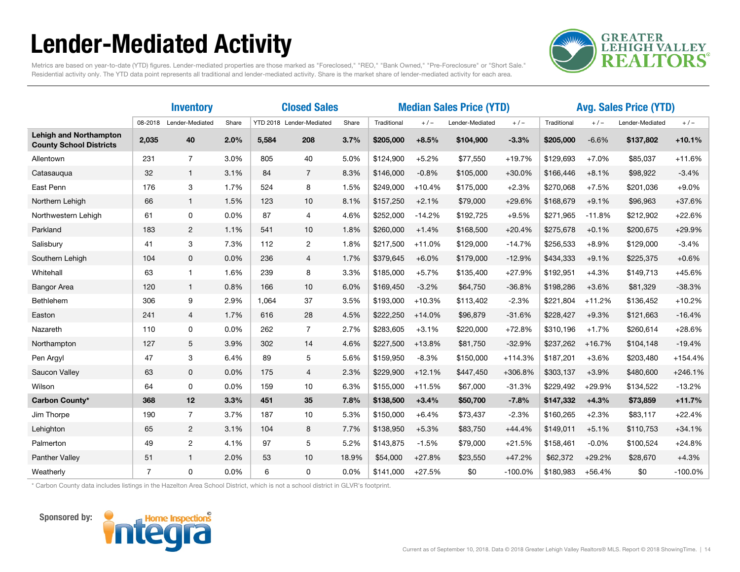### Lender-Mediated Activity



Metrics are based on year-to-date (YTD) figures. Lender-mediated properties are those marked as "Foreclosed," "REO," "Bank Owned," "Pre-Foreclosure" or "Short Sale." Residential activity only. The YTD data point represents all traditional and lender-mediated activity. Share is the market share of lender-mediated activity for each area.

|                                                                 |                | <b>Inventory</b> |       | <b>Closed Sales</b>      |                |       | <b>Median Sales Price (YTD)</b> |          |                          |           | <b>Avg. Sales Price (YTD)</b> |          |                 |           |
|-----------------------------------------------------------------|----------------|------------------|-------|--------------------------|----------------|-------|---------------------------------|----------|--------------------------|-----------|-------------------------------|----------|-----------------|-----------|
|                                                                 | 08-2018        | Lender-Mediated  | Share | YTD 2018 Lender-Mediated |                | Share | Traditional                     | $+/-$    | $+/-$<br>Lender-Mediated |           | Traditional<br>$+/-$          |          | Lender-Mediated | $+/-$     |
| <b>Lehigh and Northampton</b><br><b>County School Districts</b> | 2,035          | 40               | 2.0%  | 5,584                    | 208            | 3.7%  | \$205,000                       | $+8.5%$  | \$104,900                | $-3.3%$   | \$205,000                     | $-6.6%$  | \$137,802       | $+10.1%$  |
| Allentown                                                       | 231            | $\overline{7}$   | 3.0%  | 805                      | 40             | 5.0%  | \$124,900                       | $+5.2%$  | \$77,550                 | $+19.7%$  | \$129,693                     | $+7.0%$  | \$85,037        | $+11.6%$  |
| Catasaugua                                                      | 32             | 1                | 3.1%  | 84                       | $\overline{7}$ | 8.3%  | \$146,000                       | $-0.8%$  | \$105,000                | $+30.0%$  | \$166,446                     | $+8.1%$  | \$98,922        | $-3.4%$   |
| East Penn                                                       | 176            | 3                | 1.7%  | 524                      | 8              | 1.5%  | \$249,000                       | $+10.4%$ | \$175,000                | $+2.3%$   | \$270,068                     | $+7.5%$  | \$201,036       | $+9.0%$   |
| Northern Lehigh                                                 | 66             | $\mathbf{1}$     | 1.5%  | 123                      | 10             | 8.1%  | \$157,250                       | $+2.1%$  | \$79,000                 | $+29.6%$  | \$168,679                     | $+9.1%$  | \$96,963        | $+37.6%$  |
| Northwestern Lehigh                                             | 61             | 0                | 0.0%  | 87                       | 4              | 4.6%  | \$252,000                       | $-14.2%$ | \$192,725                | $+9.5%$   | \$271,965                     | $-11.8%$ | \$212,902       | $+22.6%$  |
| Parkland                                                        | 183            | $\overline{2}$   | 1.1%  | 541                      | 10             | 1.8%  | \$260,000                       | $+1.4%$  | \$168,500                | $+20.4%$  | \$275,678                     | $+0.1%$  | \$200,675       | $+29.9%$  |
| Salisbury                                                       | 41             | 3                | 7.3%  | 112                      | $\overline{c}$ | 1.8%  | \$217,500                       | $+11.0%$ | \$129,000                | $-14.7%$  | \$256,533                     | $+8.9%$  | \$129,000       | $-3.4%$   |
| Southern Lehigh                                                 | 104            | 0                | 0.0%  | 236                      | 4              | 1.7%  | \$379,645                       | $+6.0%$  | \$179,000                | $-12.9%$  | \$434,333                     | $+9.1%$  | \$225,375       | $+0.6%$   |
| Whitehall                                                       | 63             | 1                | 1.6%  | 239                      | 8              | 3.3%  | \$185,000                       | $+5.7%$  | \$135,400                | $+27.9%$  | \$192,951                     | $+4.3%$  | \$149,713       | $+45.6%$  |
| <b>Bangor Area</b>                                              | 120            | 1                | 0.8%  | 166                      | 10             | 6.0%  | \$169,450                       | $-3.2%$  | \$64,750                 | $-36.8%$  | \$198,286                     | $+3.6%$  | \$81,329        | $-38.3%$  |
| Bethlehem                                                       | 306            | 9                | 2.9%  | 1,064                    | 37             | 3.5%  | \$193,000                       | $+10.3%$ | \$113,402                | $-2.3%$   | \$221,804                     | $+11.2%$ | \$136,452       | $+10.2%$  |
| Easton                                                          | 241            | $\overline{4}$   | 1.7%  | 616                      | 28             | 4.5%  | \$222,250                       | $+14.0%$ | \$96,879                 | $-31.6%$  | \$228,427                     | $+9.3%$  | \$121,663       | $-16.4%$  |
| Nazareth                                                        | 110            | 0                | 0.0%  | 262                      | $\overline{7}$ | 2.7%  | \$283,605                       | $+3.1%$  | \$220,000                | $+72.8%$  | \$310,196                     | $+1.7%$  | \$260,614       | $+28.6%$  |
| Northampton                                                     | 127            | 5                | 3.9%  | 302                      | 14             | 4.6%  | \$227,500                       | $+13.8%$ | \$81,750                 | $-32.9%$  | \$237,262                     | $+16.7%$ | \$104,148       | $-19.4%$  |
| Pen Argyl                                                       | 47             | 3                | 6.4%  | 89                       | 5              | 5.6%  | \$159,950                       | $-8.3%$  | \$150,000                | $+114.3%$ | \$187,201                     | $+3.6%$  | \$203,480       | $+154.4%$ |
| Saucon Valley                                                   | 63             | $\mathbf{0}$     | 0.0%  | 175                      | $\overline{4}$ | 2.3%  | \$229,900                       | $+12.1%$ | \$447,450                | +306.8%   | \$303,137                     | $+3.9%$  | \$480,600       | $+246.1%$ |
| Wilson                                                          | 64             | 0                | 0.0%  | 159                      | 10             | 6.3%  | \$155,000                       | $+11.5%$ | \$67,000                 | $-31.3%$  | \$229,492                     | $+29.9%$ | \$134,522       | $-13.2%$  |
| Carbon County*                                                  | 368            | 12               | 3.3%  | 451                      | 35             | 7.8%  | \$138,500                       | $+3.4%$  | \$50,700                 | $-7.8%$   | \$147,332                     | $+4.3%$  | \$73,859        | $+11.7%$  |
| Jim Thorpe                                                      | 190            | $\overline{7}$   | 3.7%  | 187                      | 10             | 5.3%  | \$150,000                       | $+6.4%$  | \$73,437                 | $-2.3%$   | \$160,265                     | $+2.3%$  | \$83,117        | $+22.4%$  |
| Lehighton                                                       | 65             | $\overline{2}$   | 3.1%  | 104                      | 8              | 7.7%  | \$138,950                       | $+5.3%$  | \$83,750                 | $+44.4%$  | \$149,011                     | $+5.1%$  | \$110,753       | $+34.1%$  |
| Palmerton                                                       | 49             | $\overline{c}$   | 4.1%  | 97                       | 5              | 5.2%  | \$143,875                       | $-1.5%$  | \$79,000                 | $+21.5%$  | \$158,461                     | $-0.0%$  | \$100,524       | $+24.8%$  |
| Panther Valley                                                  | 51             | 1                | 2.0%  | 53                       | 10             | 18.9% | \$54,000                        | $+27.8%$ | \$23,550                 | $+47.2%$  | \$62,372                      | $+29.2%$ | \$28,670        | $+4.3%$   |
| Weatherly                                                       | $\overline{7}$ | 0                | 0.0%  | 6                        | 0              | 0.0%  | \$141,000                       | $+27.5%$ | \$0                      | $-100.0%$ | \$180,983                     | $+56.4%$ | \$0             | $-100.0%$ |

\* Carbon County data includes listings in the Hazelton Area School District, which is not a school district in GLVR's footprint.